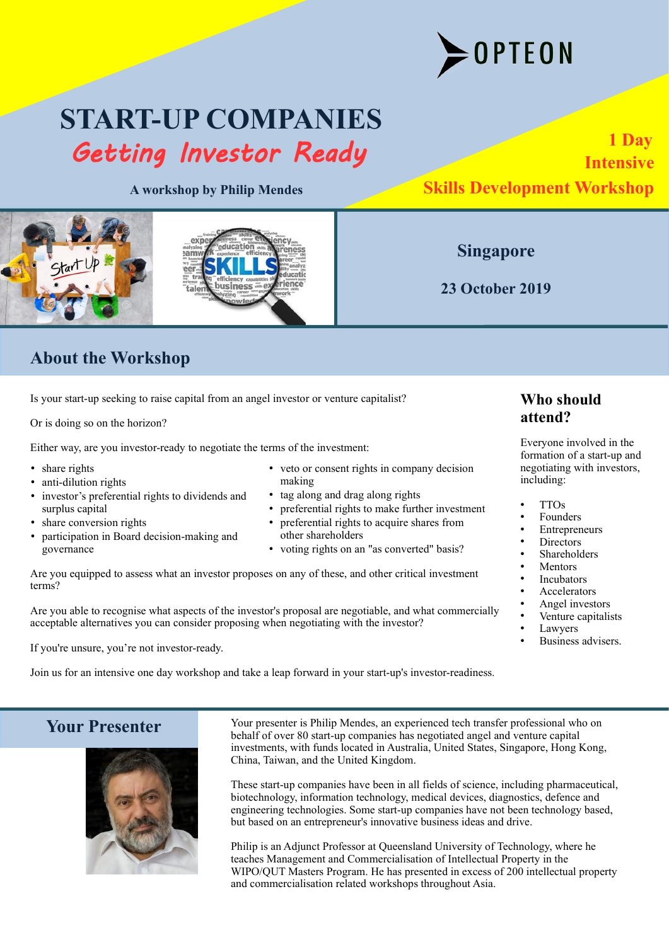

# **START-UP COMPANIES** Getting Investor Ready

**A workshop by Philip Mendes**





# **About the Workshop**

Is your start-up seeking to raise capital from an angel investor or venture capitalist?

Or is doing so on the horizon?

Either way, are you investor-ready to negotiate the terms of the investment:

- share rights
- anti-dilution rights
- investor's preferential rights to dividends and surplus capital
- share conversion rights
- participation in Board decision-making and governance
- veto or consent rights in company decision making
- tag along and drag along rights

lucati rience

- preferential rights to make further investment
- preferential rights to acquire shares from other shareholders
- voting rights on an "as converted" basis?

Are you equipped to assess what an investor proposes on any of these, and other critical investment terms?

Are you able to recognise what aspects of the investor's proposal are negotiable, and what commercially acceptable alternatives you can consider proposing when negotiating with the investor?

If you're unsure, you're not investor-ready.

Join us for an intensive one day workshop and take a leap forward in your start-up's investor-readiness.

# **Who should attend?**

Everyone involved in the formation of a start-up and negotiating with investors, including:

- TTOs
- **Founders**
- **Entrepreneurs**
- **Directors**
- Shareholders
- **Mentors**
- **Incubators**
- Accelerators
- Angel investors
- Venture capitalists
- Lawyers
- Business advisers.

 **Your Presenter**



Your presenter is Philip Mendes, an experienced tech transfer professional who on behalf of over 80 start-up companies has negotiated angel and venture capital investments, with funds located in Australia, United States, Singapore, Hong Kong, China, Taiwan, and the United Kingdom.

These start-up companies have been in all fields of science, including pharmaceutical, biotechnology, information technology, medical devices, diagnostics, defence and engineering technologies. Some start-up companies have not been technology based, but based on an entrepreneur's innovative business ideas and drive.

Philip is an Adjunct Professor at Queensland University of Technology, where he teaches Management and Commercialisation of Intellectual Property in the WIPO/QUT Masters Program. He has presented in excess of 200 intellectual property and commercialisation related workshops throughout Asia.

**Singapore**

**23 October 2019**